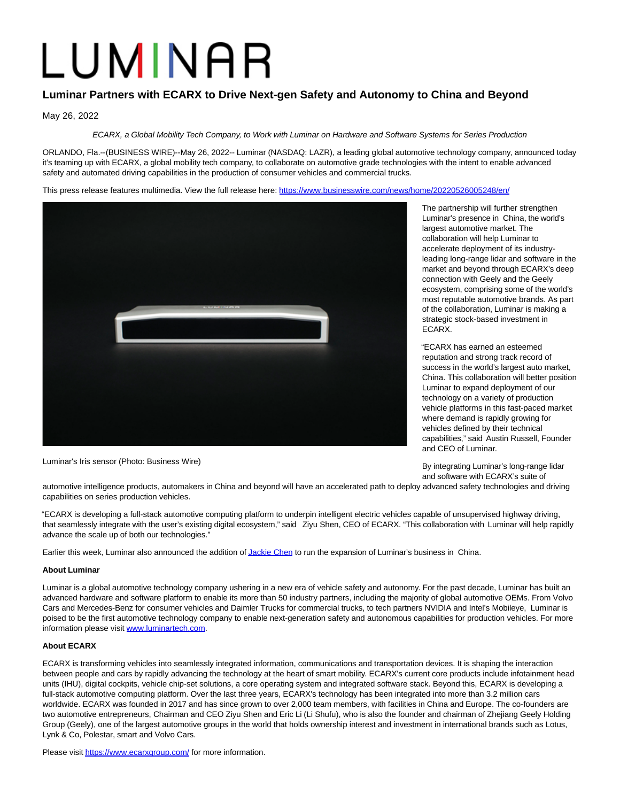# LUMINAR

## **Luminar Partners with ECARX to Drive Next-gen Safety and Autonomy to China and Beyond**

May 26, 2022

ECARX, a Global Mobility Tech Company, to Work with Luminar on Hardware and Software Systems for Series Production

ORLANDO, Fla.--(BUSINESS WIRE)--May 26, 2022-- Luminar (NASDAQ: LAZR), a leading global automotive technology company, announced today it's teaming up with ECARX, a global mobility tech company, to collaborate on automotive grade technologies with the intent to enable advanced safety and automated driving capabilities in the production of consumer vehicles and commercial trucks.

This press release features multimedia. View the full release here:<https://www.businesswire.com/news/home/20220526005248/en/>



Luminar's Iris sensor (Photo: Business Wire)

The partnership will further strengthen Luminar's presence in China, the world's largest automotive market. The collaboration will help Luminar to accelerate deployment of its industryleading long-range lidar and software in the market and beyond through ECARX's deep connection with Geely and the Geely ecosystem, comprising some of the world's most reputable automotive brands. As part of the collaboration, Luminar is making a strategic stock-based investment in ECARX.

"ECARX has earned an esteemed reputation and strong track record of success in the world's largest auto market, China. This collaboration will better position Luminar to expand deployment of our technology on a variety of production vehicle platforms in this fast-paced market where demand is rapidly growing for vehicles defined by their technical capabilities," said Austin Russell, Founder and CEO of Luminar.

By integrating Luminar's long-range lidar and software with ECARX's suite of

automotive intelligence products, automakers in China and beyond will have an accelerated path to deploy advanced safety technologies and driving capabilities on series production vehicles.

"ECARX is developing a full-stack automotive computing platform to underpin intelligent electric vehicles capable of unsupervised highway driving, that seamlessly integrate with the user's existing digital ecosystem," said Ziyu Shen, CEO of ECARX. "This collaboration with Luminar will help rapidly advance the scale up of both our technologies."

Earlier this week, Luminar also announced the addition o[f Jackie Chen t](https://cts.businesswire.com/ct/CT?id=smartlink&url=https%3A%2F%2Fwww.luminartech.com%2Fattracts-former-nvidia-tesla-apple-and-tier-1-executives%2F&esheet=52731536&newsitemid=20220526005248&lan=en-US&anchor=Jackie+Chen&index=1&md5=465a0595915bfb58ac053fc443ee203a)o run the expansion of Luminar's business in China.

### **About Luminar**

Luminar is a global automotive technology company ushering in a new era of vehicle safety and autonomy. For the past decade, Luminar has built an advanced hardware and software platform to enable its more than 50 industry partners, including the majority of global automotive OEMs. From Volvo Cars and Mercedes-Benz for consumer vehicles and Daimler Trucks for commercial trucks, to tech partners NVIDIA and Intel's Mobileye, Luminar is poised to be the first automotive technology company to enable next-generation safety and autonomous capabilities for production vehicles. For more information please visit [www.luminartech.com.](https://cts.businesswire.com/ct/CT?id=smartlink&url=http%3A%2F%2Fwww.luminartech.com&esheet=52731536&newsitemid=20220526005248&lan=en-US&anchor=www.luminartech.com&index=2&md5=608f13c90042b3857383c865d85cf5a0)

### **About ECARX**

ECARX is transforming vehicles into seamlessly integrated information, communications and transportation devices. It is shaping the interaction between people and cars by rapidly advancing the technology at the heart of smart mobility. ECARX's current core products include infotainment head units (IHU), digital cockpits, vehicle chip-set solutions, a core operating system and integrated software stack. Beyond this, ECARX is developing a full-stack automotive computing platform. Over the last three years, ECARX's technology has been integrated into more than 3.2 million cars worldwide. ECARX was founded in 2017 and has since grown to over 2,000 team members, with facilities in China and Europe. The co-founders are two automotive entrepreneurs, Chairman and CEO Ziyu Shen and Eric Li (Li Shufu), who is also the founder and chairman of Zhejiang Geely Holding Group (Geely), one of the largest automotive groups in the world that holds ownership interest and investment in international brands such as Lotus, Lynk & Co, Polestar, smart and Volvo Cars.

Please visi[t https://www.ecarxgroup.com/ f](https://cts.businesswire.com/ct/CT?id=smartlink&url=https%3A%2F%2Fwww.ecarxgroup.com%2F&esheet=52731536&newsitemid=20220526005248&lan=en-US&anchor=https%3A%2F%2Fwww.ecarxgroup.com%2F&index=3&md5=852bce461269ad836de049d6e57b745f)or more information.